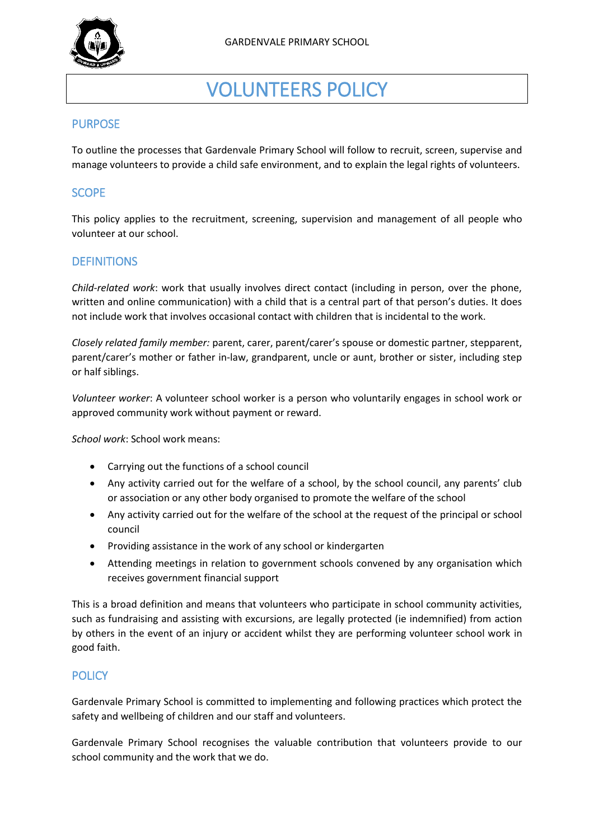

# VOLUNTEERS POLICY

## PURPOSE

To outline the processes that Gardenvale Primary School will follow to recruit, screen, supervise and manage volunteers to provide a child safe environment, and to explain the legal rights of volunteers.

# **SCOPE**

This policy applies to the recruitment, screening, supervision and management of all people who volunteer at our school.

## **DEFINITIONS**

*Child-related work*: work that usually involves direct contact (including in person, over the phone, written and online communication) with a child that is a central part of that person's duties. It does not include work that involves occasional contact with children that is incidental to the work.

*Closely related family member:* parent, carer, parent/carer's spouse or domestic partner, stepparent, parent/carer's mother or father in-law, grandparent, uncle or aunt, brother or sister, including step or half siblings.

*Volunteer worker*: A volunteer school worker is a person who voluntarily engages in school work or approved community work without payment or reward.

*School work*: School work means:

- Carrying out the functions of a school council
- Any activity carried out for the welfare of a school, by the school council, any parents' club or association or any other body organised to promote the welfare of the school
- Any activity carried out for the welfare of the school at the request of the principal or school council
- Providing assistance in the work of any school or kindergarten
- Attending meetings in relation to government schools convened by any organisation which receives government financial support

This is a broad definition and means that volunteers who participate in school community activities, such as fundraising and assisting with excursions, are legally protected (ie indemnified) from action by others in the event of an injury or accident whilst they are performing volunteer school work in good faith.

## **POLICY**

Gardenvale Primary School is committed to implementing and following practices which protect the safety and wellbeing of children and our staff and volunteers.

Gardenvale Primary School recognises the valuable contribution that volunteers provide to our school community and the work that we do.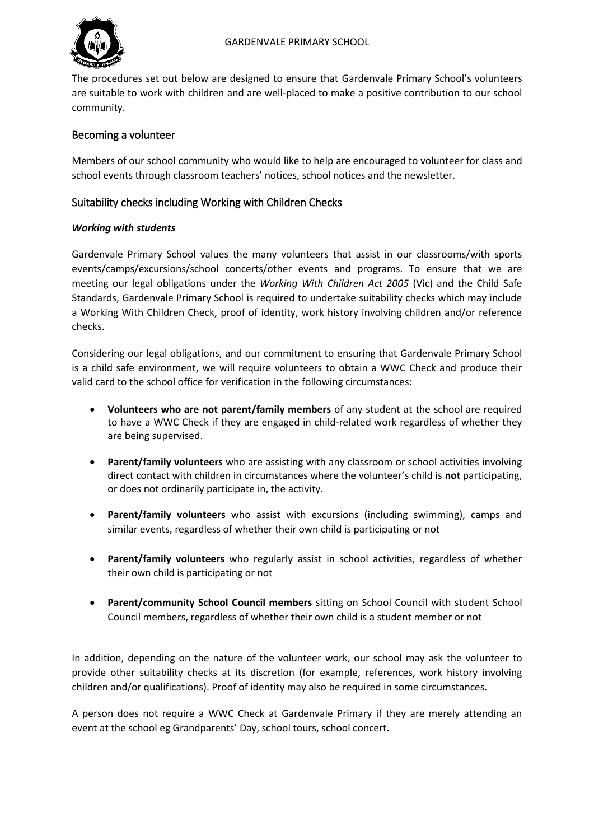#### GARDENVALE PRIMARY SCHOOL



The procedures set out below are designed to ensure that Gardenvale Primary School's volunteers are suitable to work with children and are well-placed to make a positive contribution to our school community.

## Becoming a volunteer

Members of our school community who would like to help are encouraged to volunteer for class and school events through classroom teachers' notices, school notices and the newsletter.

## Suitability checks including Working with Children Checks

#### *Working with students*

Gardenvale Primary School values the many volunteers that assist in our classrooms/with sports events/camps/excursions/school concerts/other events and programs. To ensure that we are meeting our legal obligations under the *Working With Children Act 2005* (Vic) and the Child Safe Standards, Gardenvale Primary School is required to undertake suitability checks which may include a Working With Children Check, proof of identity, work history involving children and/or reference checks.

Considering our legal obligations, and our commitment to ensuring that Gardenvale Primary School is a child safe environment, we will require volunteers to obtain a WWC Check and produce their valid card to the school office for verification in the following circumstances:

- **Volunteers who are not parent/family members** of any student at the school are required to have a WWC Check if they are engaged in child-related work regardless of whether they are being supervised.
- **Parent/family volunteers** who are assisting with any classroom or school activities involving direct contact with children in circumstances where the volunteer's child is **not** participating, or does not ordinarily participate in, the activity.
- **Parent/family volunteers** who assist with excursions (including swimming), camps and similar events, regardless of whether their own child is participating or not
- **Parent/family volunteers** who regularly assist in school activities, regardless of whether their own child is participating or not
- **Parent/community School Council members** sitting on School Council with student School Council members, regardless of whether their own child is a student member or not

In addition, depending on the nature of the volunteer work, our school may ask the volunteer to provide other suitability checks at its discretion (for example, references, work history involving children and/or qualifications). Proof of identity may also be required in some circumstances.

A person does not require a WWC Check at Gardenvale Primary if they are merely attending an event at the school eg Grandparents' Day, school tours, school concert.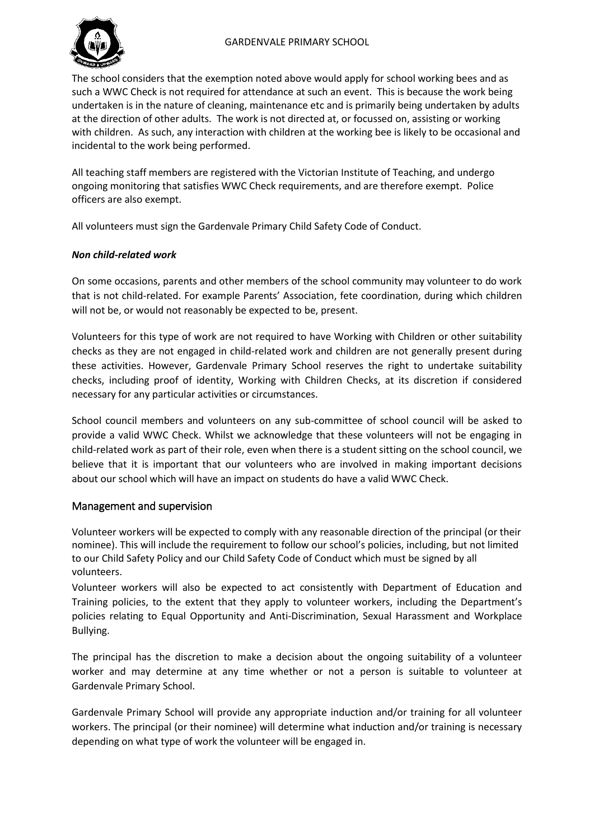#### GARDENVALE PRIMARY SCHOOL



The school considers that the exemption noted above would apply for school working bees and as such a WWC Check is not required for attendance at such an event. This is because the work being undertaken is in the nature of cleaning, maintenance etc and is primarily being undertaken by adults at the direction of other adults. The work is not directed at, or focussed on, assisting or working with children. As such, any interaction with children at the working bee is likely to be occasional and incidental to the work being performed.

All teaching staff members are registered with the Victorian Institute of Teaching, and undergo ongoing monitoring that satisfies WWC Check requirements, and are therefore exempt. Police officers are also exempt.

All volunteers must sign the Gardenvale Primary Child Safety Code of Conduct.

### *Non child-related work*

On some occasions, parents and other members of the school community may volunteer to do work that is not child-related. For example Parents' Association, fete coordination, during which children will not be, or would not reasonably be expected to be, present.

Volunteers for this type of work are not required to have Working with Children or other suitability checks as they are not engaged in child-related work and children are not generally present during these activities. However, Gardenvale Primary School reserves the right to undertake suitability checks, including proof of identity, Working with Children Checks, at its discretion if considered necessary for any particular activities or circumstances.

School council members and volunteers on any sub-committee of school council will be asked to provide a valid WWC Check. Whilst we acknowledge that these volunteers will not be engaging in child-related work as part of their role, even when there is a student sitting on the school council, we believe that it is important that our volunteers who are involved in making important decisions about our school which will have an impact on students do have a valid WWC Check.

### Management and supervision

Volunteer workers will be expected to comply with any reasonable direction of the principal (or their nominee). This will include the requirement to follow our school's policies, including, but not limited to our Child Safety Policy and our Child Safety Code of Conduct which must be signed by all volunteers.

Volunteer workers will also be expected to act consistently with Department of Education and Training policies, to the extent that they apply to volunteer workers, including the Department's policies relating to Equal Opportunity and Anti-Discrimination, Sexual Harassment and Workplace Bullying.

The principal has the discretion to make a decision about the ongoing suitability of a volunteer worker and may determine at any time whether or not a person is suitable to volunteer at Gardenvale Primary School.

Gardenvale Primary School will provide any appropriate induction and/or training for all volunteer workers. The principal (or their nominee) will determine what induction and/or training is necessary depending on what type of work the volunteer will be engaged in.